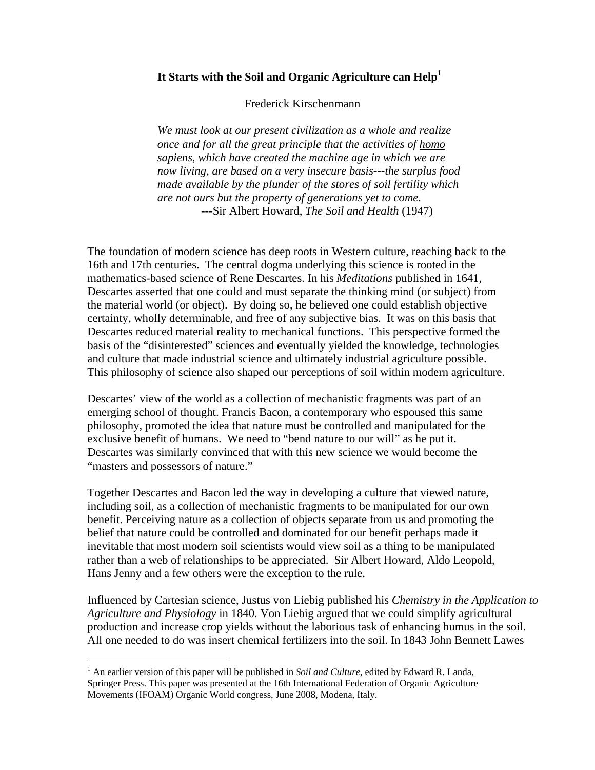## **It Starts with the Soil and Organic Agriculture can Help1**

### Frederick Kirschenmann

 *We must look at our present civilization as a whole and realize once and for all the great principle that the activities of homo sapiens, which have created the machine age in which we are now living, are based on a very insecure basis---the surplus food made available by the plunder of the stores of soil fertility which are not ours but the property of generations yet to come.*  ---Sir Albert Howard, *The Soil and Health* (1947)

The foundation of modern science has deep roots in Western culture, reaching back to the 16th and 17th centuries. The central dogma underlying this science is rooted in the mathematics-based science of Rene Descartes. In his *Meditations* published in 1641, Descartes asserted that one could and must separate the thinking mind (or subject) from the material world (or object). By doing so, he believed one could establish objective certainty, wholly determinable, and free of any subjective bias. It was on this basis that Descartes reduced material reality to mechanical functions. This perspective formed the basis of the "disinterested" sciences and eventually yielded the knowledge, technologies and culture that made industrial science and ultimately industrial agriculture possible. This philosophy of science also shaped our perceptions of soil within modern agriculture.

Descartes' view of the world as a collection of mechanistic fragments was part of an emerging school of thought. Francis Bacon, a contemporary who espoused this same philosophy, promoted the idea that nature must be controlled and manipulated for the exclusive benefit of humans. We need to "bend nature to our will" as he put it. Descartes was similarly convinced that with this new science we would become the "masters and possessors of nature."

Together Descartes and Bacon led the way in developing a culture that viewed nature, including soil, as a collection of mechanistic fragments to be manipulated for our own benefit. Perceiving nature as a collection of objects separate from us and promoting the belief that nature could be controlled and dominated for our benefit perhaps made it inevitable that most modern soil scientists would view soil as a thing to be manipulated rather than a web of relationships to be appreciated. Sir Albert Howard, Aldo Leopold, Hans Jenny and a few others were the exception to the rule.

Influenced by Cartesian science, Justus von Liebig published his *Chemistry in the Application to Agriculture and Physiology* in 1840. Von Liebig argued that we could simplify agricultural production and increase crop yields without the laborious task of enhancing humus in the soil. All one needed to do was insert chemical fertilizers into the soil. In 1843 John Bennett Lawes

 $\overline{a}$ 

<sup>&</sup>lt;sup>1</sup> An earlier version of this paper will be published in *Soil and Culture*, edited by Edward R. Landa, Springer Press. This paper was presented at the 16th International Federation of Organic Agriculture Movements (IFOAM) Organic World congress, June 2008, Modena, Italy.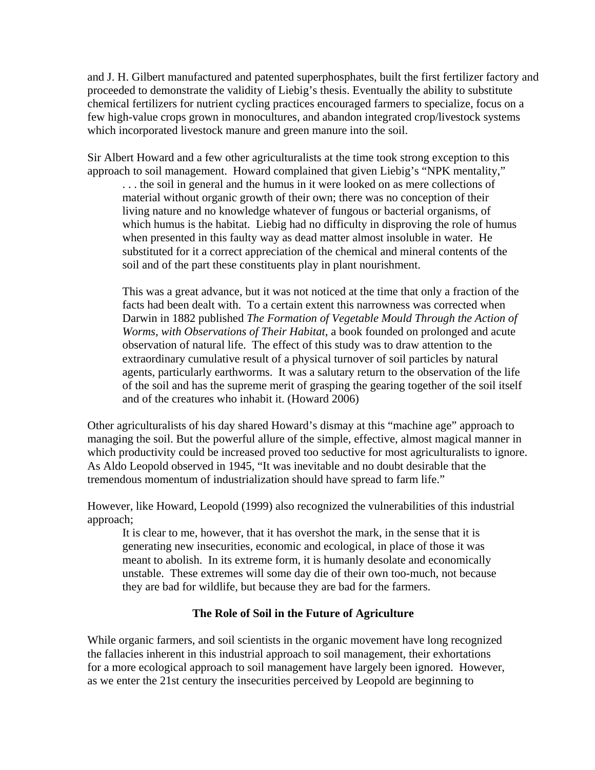and J. H. Gilbert manufactured and patented superphosphates, built the first fertilizer factory and proceeded to demonstrate the validity of Liebig's thesis. Eventually the ability to substitute chemical fertilizers for nutrient cycling practices encouraged farmers to specialize, focus on a few high-value crops grown in monocultures, and abandon integrated crop/livestock systems which incorporated livestock manure and green manure into the soil.

Sir Albert Howard and a few other agriculturalists at the time took strong exception to this approach to soil management. Howard complained that given Liebig's "NPK mentality,"

 . . . the soil in general and the humus in it were looked on as mere collections of material without organic growth of their own; there was no conception of their living nature and no knowledge whatever of fungous or bacterial organisms, of which humus is the habitat. Liebig had no difficulty in disproving the role of humus when presented in this faulty way as dead matter almost insoluble in water. He substituted for it a correct appreciation of the chemical and mineral contents of the soil and of the part these constituents play in plant nourishment.

 This was a great advance, but it was not noticed at the time that only a fraction of the facts had been dealt with. To a certain extent this narrowness was corrected when Darwin in 1882 published *The Formation of Vegetable Mould Through the Action of Worms, with Observations of Their Habitat*, a book founded on prolonged and acute observation of natural life. The effect of this study was to draw attention to the extraordinary cumulative result of a physical turnover of soil particles by natural agents, particularly earthworms. It was a salutary return to the observation of the life of the soil and has the supreme merit of grasping the gearing together of the soil itself and of the creatures who inhabit it. (Howard 2006)

Other agriculturalists of his day shared Howard's dismay at this "machine age" approach to managing the soil. But the powerful allure of the simple, effective, almost magical manner in which productivity could be increased proved too seductive for most agriculturalists to ignore. As Aldo Leopold observed in 1945, "It was inevitable and no doubt desirable that the tremendous momentum of industrialization should have spread to farm life."

However, like Howard, Leopold (1999) also recognized the vulnerabilities of this industrial approach;

 It is clear to me, however, that it has overshot the mark, in the sense that it is generating new insecurities, economic and ecological, in place of those it was meant to abolish. In its extreme form, it is humanly desolate and economically unstable. These extremes will some day die of their own too-much, not because they are bad for wildlife, but because they are bad for the farmers.

### **The Role of Soil in the Future of Agriculture**

While organic farmers, and soil scientists in the organic movement have long recognized the fallacies inherent in this industrial approach to soil management, their exhortations for a more ecological approach to soil management have largely been ignored. However, as we enter the 21st century the insecurities perceived by Leopold are beginning to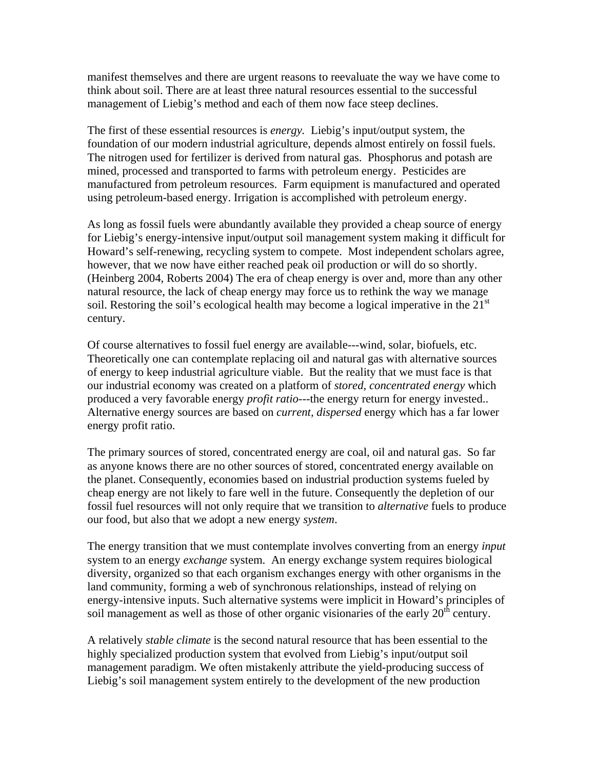manifest themselves and there are urgent reasons to reevaluate the way we have come to think about soil. There are at least three natural resources essential to the successful management of Liebig's method and each of them now face steep declines.

The first of these essential resources is *energy.* Liebig's input/output system, the foundation of our modern industrial agriculture, depends almost entirely on fossil fuels. The nitrogen used for fertilizer is derived from natural gas. Phosphorus and potash are mined, processed and transported to farms with petroleum energy. Pesticides are manufactured from petroleum resources. Farm equipment is manufactured and operated using petroleum-based energy. Irrigation is accomplished with petroleum energy.

As long as fossil fuels were abundantly available they provided a cheap source of energy for Liebig's energy-intensive input/output soil management system making it difficult for Howard's self-renewing, recycling system to compete. Most independent scholars agree, however, that we now have either reached peak oil production or will do so shortly. (Heinberg 2004, Roberts 2004) The era of cheap energy is over and, more than any other natural resource, the lack of cheap energy may force us to rethink the way we manage soil. Restoring the soil's ecological health may become a logical imperative in the  $21<sup>st</sup>$ century.

Of course alternatives to fossil fuel energy are available---wind, solar, biofuels, etc. Theoretically one can contemplate replacing oil and natural gas with alternative sources of energy to keep industrial agriculture viable. But the reality that we must face is that our industrial economy was created on a platform of *stored, concentrated energy* which produced a very favorable energy *profit ratio*---the energy return for energy invested.. Alternative energy sources are based on *current, dispersed* energy which has a far lower energy profit ratio.

The primary sources of stored, concentrated energy are coal, oil and natural gas. So far as anyone knows there are no other sources of stored, concentrated energy available on the planet. Consequently, economies based on industrial production systems fueled by cheap energy are not likely to fare well in the future. Consequently the depletion of our fossil fuel resources will not only require that we transition to *alternative* fuels to produce our food, but also that we adopt a new energy *system*.

The energy transition that we must contemplate involves converting from an energy *input* system to an energy *exchange* system. An energy exchange system requires biological diversity, organized so that each organism exchanges energy with other organisms in the land community, forming a web of synchronous relationships, instead of relying on energy-intensive inputs. Such alternative systems were implicit in Howard's principles of soil management as well as those of other organic visionaries of the early  $20<sup>th</sup>$  century.

A relatively *stable climate* is the second natural resource that has been essential to the highly specialized production system that evolved from Liebig's input/output soil management paradigm. We often mistakenly attribute the yield-producing success of Liebig's soil management system entirely to the development of the new production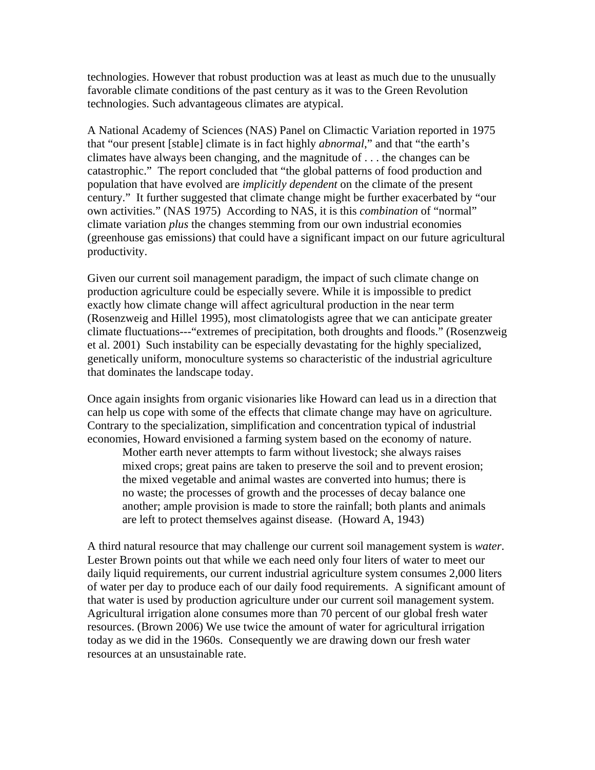technologies. However that robust production was at least as much due to the unusually favorable climate conditions of the past century as it was to the Green Revolution technologies. Such advantageous climates are atypical.

A National Academy of Sciences (NAS) Panel on Climactic Variation reported in 1975 that "our present [stable] climate is in fact highly *abnormal*," and that "the earth's climates have always been changing, and the magnitude of . . . the changes can be catastrophic." The report concluded that "the global patterns of food production and population that have evolved are *implicitly dependent* on the climate of the present century." It further suggested that climate change might be further exacerbated by "our own activities." (NAS 1975) According to NAS, it is this *combination* of "normal" climate variation *plus* the changes stemming from our own industrial economies (greenhouse gas emissions) that could have a significant impact on our future agricultural productivity.

Given our current soil management paradigm, the impact of such climate change on production agriculture could be especially severe. While it is impossible to predict exactly how climate change will affect agricultural production in the near term (Rosenzweig and Hillel 1995), most climatologists agree that we can anticipate greater climate fluctuations---"extremes of precipitation, both droughts and floods." (Rosenzweig et al. 2001) Such instability can be especially devastating for the highly specialized, genetically uniform, monoculture systems so characteristic of the industrial agriculture that dominates the landscape today.

Once again insights from organic visionaries like Howard can lead us in a direction that can help us cope with some of the effects that climate change may have on agriculture. Contrary to the specialization, simplification and concentration typical of industrial economies, Howard envisioned a farming system based on the economy of nature.

 Mother earth never attempts to farm without livestock; she always raises mixed crops; great pains are taken to preserve the soil and to prevent erosion; the mixed vegetable and animal wastes are converted into humus; there is no waste; the processes of growth and the processes of decay balance one another; ample provision is made to store the rainfall; both plants and animals are left to protect themselves against disease. (Howard A, 1943)

A third natural resource that may challenge our current soil management system is *water*. Lester Brown points out that while we each need only four liters of water to meet our daily liquid requirements, our current industrial agriculture system consumes 2,000 liters of water per day to produce each of our daily food requirements. A significant amount of that water is used by production agriculture under our current soil management system. Agricultural irrigation alone consumes more than 70 percent of our global fresh water resources. (Brown 2006) We use twice the amount of water for agricultural irrigation today as we did in the 1960s. Consequently we are drawing down our fresh water resources at an unsustainable rate.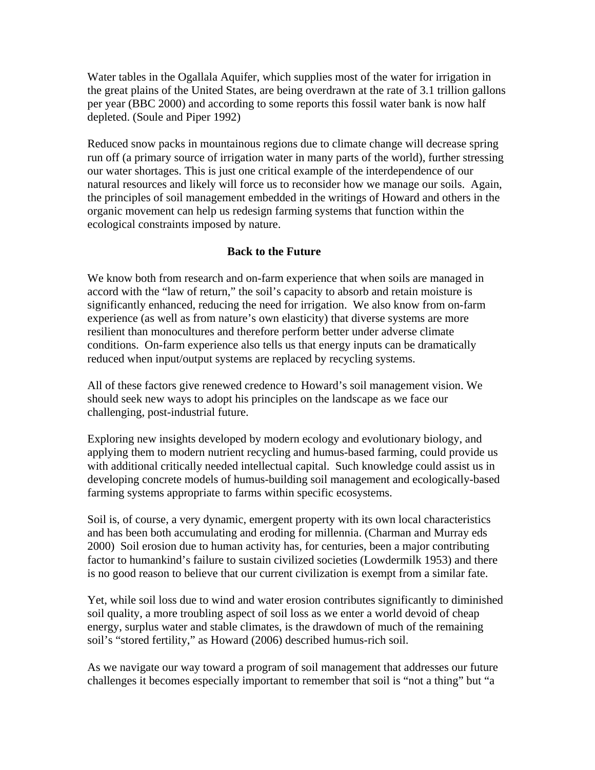Water tables in the Ogallala Aquifer, which supplies most of the water for irrigation in the great plains of the United States, are being overdrawn at the rate of 3.1 trillion gallons per year (BBC 2000) and according to some reports this fossil water bank is now half depleted. (Soule and Piper 1992)

Reduced snow packs in mountainous regions due to climate change will decrease spring run off (a primary source of irrigation water in many parts of the world), further stressing our water shortages. This is just one critical example of the interdependence of our natural resources and likely will force us to reconsider how we manage our soils. Again, the principles of soil management embedded in the writings of Howard and others in the organic movement can help us redesign farming systems that function within the ecological constraints imposed by nature.

# **Back to the Future**

We know both from research and on-farm experience that when soils are managed in accord with the "law of return," the soil's capacity to absorb and retain moisture is significantly enhanced, reducing the need for irrigation. We also know from on-farm experience (as well as from nature's own elasticity) that diverse systems are more resilient than monocultures and therefore perform better under adverse climate conditions. On-farm experience also tells us that energy inputs can be dramatically reduced when input/output systems are replaced by recycling systems.

All of these factors give renewed credence to Howard's soil management vision. We should seek new ways to adopt his principles on the landscape as we face our challenging, post-industrial future.

Exploring new insights developed by modern ecology and evolutionary biology, and applying them to modern nutrient recycling and humus-based farming, could provide us with additional critically needed intellectual capital. Such knowledge could assist us in developing concrete models of humus-building soil management and ecologically-based farming systems appropriate to farms within specific ecosystems.

Soil is, of course, a very dynamic, emergent property with its own local characteristics and has been both accumulating and eroding for millennia. (Charman and Murray eds 2000) Soil erosion due to human activity has, for centuries, been a major contributing factor to humankind's failure to sustain civilized societies (Lowdermilk 1953) and there is no good reason to believe that our current civilization is exempt from a similar fate.

Yet, while soil loss due to wind and water erosion contributes significantly to diminished soil quality, a more troubling aspect of soil loss as we enter a world devoid of cheap energy, surplus water and stable climates, is the drawdown of much of the remaining soil's "stored fertility," as Howard (2006) described humus-rich soil.

As we navigate our way toward a program of soil management that addresses our future challenges it becomes especially important to remember that soil is "not a thing" but "a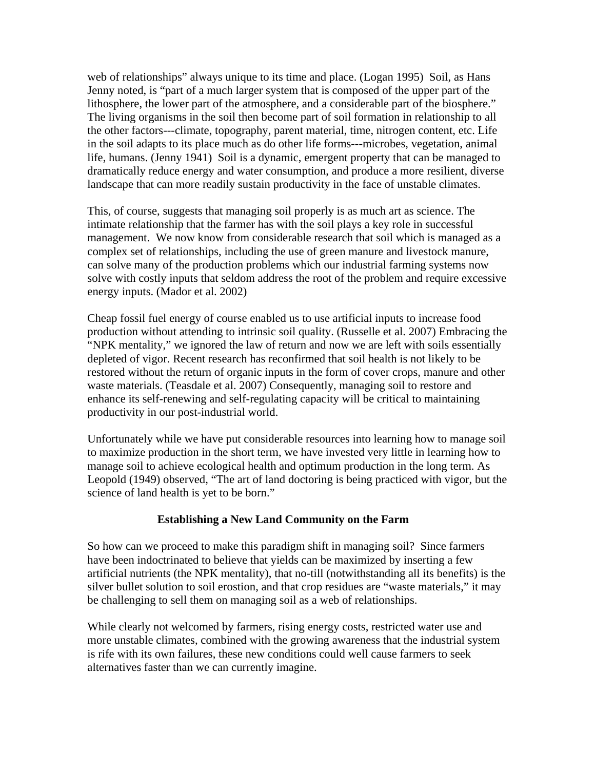web of relationships" always unique to its time and place. (Logan 1995) Soil, as Hans Jenny noted, is "part of a much larger system that is composed of the upper part of the lithosphere, the lower part of the atmosphere, and a considerable part of the biosphere." The living organisms in the soil then become part of soil formation in relationship to all the other factors---climate, topography, parent material, time, nitrogen content, etc. Life in the soil adapts to its place much as do other life forms---microbes, vegetation, animal life, humans. (Jenny 1941) Soil is a dynamic, emergent property that can be managed to dramatically reduce energy and water consumption, and produce a more resilient, diverse landscape that can more readily sustain productivity in the face of unstable climates.

This, of course, suggests that managing soil properly is as much art as science. The intimate relationship that the farmer has with the soil plays a key role in successful management. We now know from considerable research that soil which is managed as a complex set of relationships, including the use of green manure and livestock manure, can solve many of the production problems which our industrial farming systems now solve with costly inputs that seldom address the root of the problem and require excessive energy inputs. (Mador et al. 2002)

Cheap fossil fuel energy of course enabled us to use artificial inputs to increase food production without attending to intrinsic soil quality. (Russelle et al. 2007) Embracing the "NPK mentality," we ignored the law of return and now we are left with soils essentially depleted of vigor. Recent research has reconfirmed that soil health is not likely to be restored without the return of organic inputs in the form of cover crops, manure and other waste materials. (Teasdale et al. 2007) Consequently, managing soil to restore and enhance its self-renewing and self-regulating capacity will be critical to maintaining productivity in our post-industrial world.

Unfortunately while we have put considerable resources into learning how to manage soil to maximize production in the short term, we have invested very little in learning how to manage soil to achieve ecological health and optimum production in the long term. As Leopold (1949) observed, "The art of land doctoring is being practiced with vigor, but the science of land health is yet to be born."

# **Establishing a New Land Community on the Farm**

So how can we proceed to make this paradigm shift in managing soil? Since farmers have been indoctrinated to believe that yields can be maximized by inserting a few artificial nutrients (the NPK mentality), that no-till (notwithstanding all its benefits) is the silver bullet solution to soil erostion, and that crop residues are "waste materials," it may be challenging to sell them on managing soil as a web of relationships.

While clearly not welcomed by farmers, rising energy costs, restricted water use and more unstable climates, combined with the growing awareness that the industrial system is rife with its own failures, these new conditions could well cause farmers to seek alternatives faster than we can currently imagine.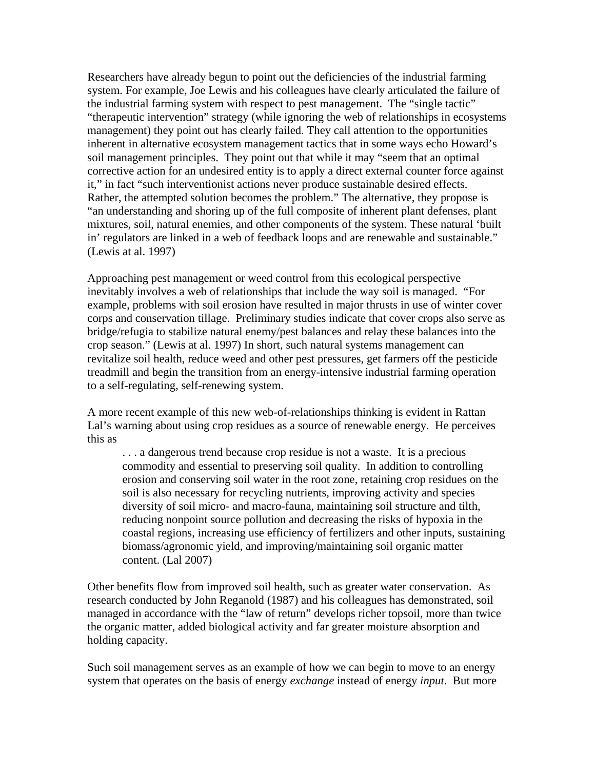Researchers have already begun to point out the deficiencies of the industrial farming system. For example, Joe Lewis and his colleagues have clearly articulated the failure of the industrial farming system with respect to pest management. The "single tactic" "therapeutic intervention" strategy (while ignoring the web of relationships in ecosystems management) they point out has clearly failed. They call attention to the opportunities inherent in alternative ecosystem management tactics that in some ways echo Howard's soil management principles. They point out that while it may "seem that an optimal corrective action for an undesired entity is to apply a direct external counter force against it," in fact "such interventionist actions never produce sustainable desired effects. Rather, the attempted solution becomes the problem." The alternative, they propose is "an understanding and shoring up of the full composite of inherent plant defenses, plant mixtures, soil, natural enemies, and other components of the system. These natural 'built in' regulators are linked in a web of feedback loops and are renewable and sustainable." (Lewis at al. 1997)

Approaching pest management or weed control from this ecological perspective inevitably involves a web of relationships that include the way soil is managed. "For example, problems with soil erosion have resulted in major thrusts in use of winter cover corps and conservation tillage. Preliminary studies indicate that cover crops also serve as bridge/refugia to stabilize natural enemy/pest balances and relay these balances into the crop season." (Lewis at al. 1997) In short, such natural systems management can revitalize soil health, reduce weed and other pest pressures, get farmers off the pesticide treadmill and begin the transition from an energy-intensive industrial farming operation to a self-regulating, self-renewing system.

A more recent example of this new web-of-relationships thinking is evident in Rattan Lal's warning about using crop residues as a source of renewable energy. He perceives this as

 . . . a dangerous trend because crop residue is not a waste. It is a precious commodity and essential to preserving soil quality. In addition to controlling erosion and conserving soil water in the root zone, retaining crop residues on the soil is also necessary for recycling nutrients, improving activity and species diversity of soil micro- and macro-fauna, maintaining soil structure and tilth, reducing nonpoint source pollution and decreasing the risks of hypoxia in the coastal regions, increasing use efficiency of fertilizers and other inputs, sustaining biomass/agronomic yield, and improving/maintaining soil organic matter content. (Lal 2007)

Other benefits flow from improved soil health, such as greater water conservation. As research conducted by John Reganold (1987) and his colleagues has demonstrated, soil managed in accordance with the "law of return" develops richer topsoil, more than twice the organic matter, added biological activity and far greater moisture absorption and holding capacity.

Such soil management serves as an example of how we can begin to move to an energy system that operates on the basis of energy *exchange* instead of energy *input*. But more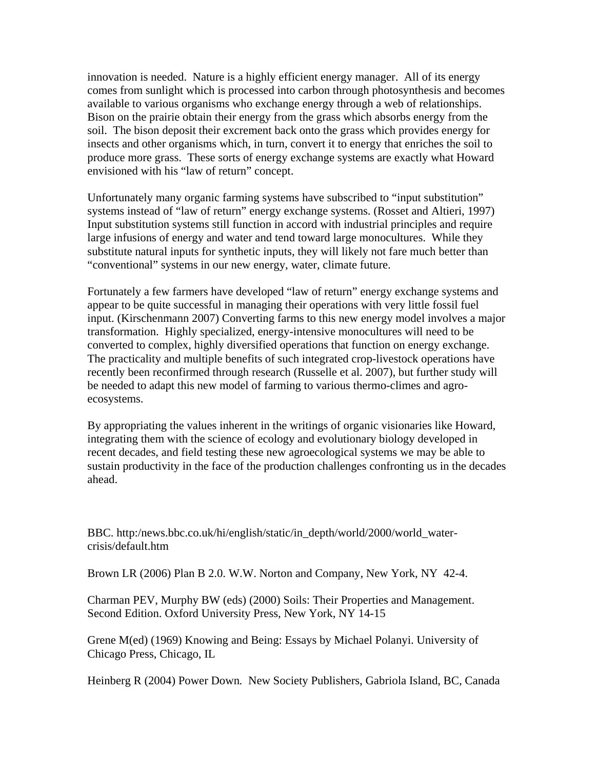innovation is needed. Nature is a highly efficient energy manager. All of its energy comes from sunlight which is processed into carbon through photosynthesis and becomes available to various organisms who exchange energy through a web of relationships. Bison on the prairie obtain their energy from the grass which absorbs energy from the soil. The bison deposit their excrement back onto the grass which provides energy for insects and other organisms which, in turn, convert it to energy that enriches the soil to produce more grass. These sorts of energy exchange systems are exactly what Howard envisioned with his "law of return" concept.

Unfortunately many organic farming systems have subscribed to "input substitution" systems instead of "law of return" energy exchange systems. (Rosset and Altieri, 1997) Input substitution systems still function in accord with industrial principles and require large infusions of energy and water and tend toward large monocultures. While they substitute natural inputs for synthetic inputs, they will likely not fare much better than "conventional" systems in our new energy, water, climate future.

Fortunately a few farmers have developed "law of return" energy exchange systems and appear to be quite successful in managing their operations with very little fossil fuel input. (Kirschenmann 2007) Converting farms to this new energy model involves a major transformation. Highly specialized, energy-intensive monocultures will need to be converted to complex, highly diversified operations that function on energy exchange. The practicality and multiple benefits of such integrated crop-livestock operations have recently been reconfirmed through research (Russelle et al. 2007), but further study will be needed to adapt this new model of farming to various thermo-climes and agroecosystems.

By appropriating the values inherent in the writings of organic visionaries like Howard, integrating them with the science of ecology and evolutionary biology developed in recent decades, and field testing these new agroecological systems we may be able to sustain productivity in the face of the production challenges confronting us in the decades ahead.

BBC. http:/news.bbc.co.uk/hi/english/static/in\_depth/world/2000/world\_watercrisis/default.htm

Brown LR (2006) Plan B 2.0. W.W. Norton and Company, New York, NY 42-4.

Charman PEV, Murphy BW (eds) (2000) Soils: Their Properties and Management. Second Edition. Oxford University Press, New York, NY 14-15

Grene M(ed) (1969) Knowing and Being: Essays by Michael Polanyi. University of Chicago Press, Chicago, IL

Heinberg R (2004) Power Down*.* New Society Publishers, Gabriola Island, BC, Canada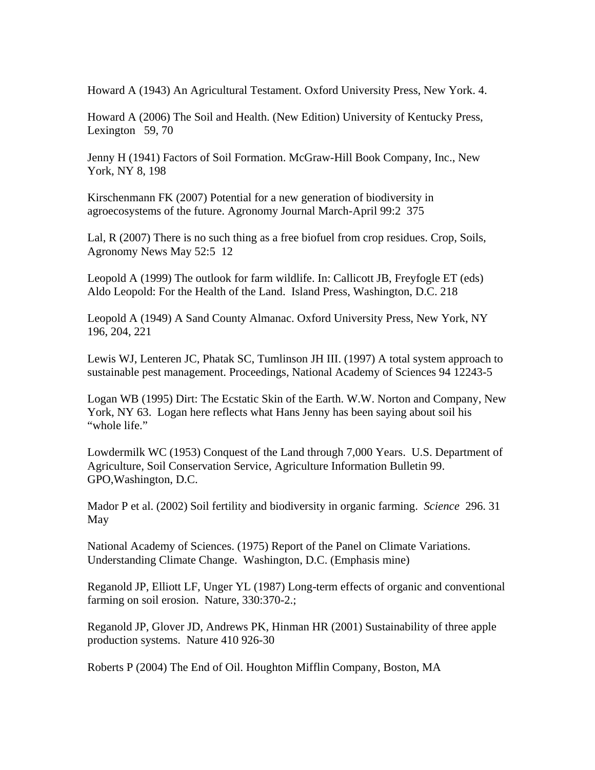Howard A (1943) An Agricultural Testament. Oxford University Press, New York. 4.

Howard A (2006) The Soil and Health. (New Edition) University of Kentucky Press, Lexington 59, 70

Jenny H (1941) Factors of Soil Formation. McGraw-Hill Book Company, Inc., New York, NY 8, 198

Kirschenmann FK (2007) Potential for a new generation of biodiversity in agroecosystems of the future. Agronomy Journal March-April 99:2 375

Lal, R (2007) There is no such thing as a free biofuel from crop residues. Crop, Soils, Agronomy News May 52:5 12

Leopold A (1999) The outlook for farm wildlife. In: Callicott JB, Freyfogle ET (eds) Aldo Leopold: For the Health of the Land. Island Press, Washington, D.C. 218

Leopold A (1949) A Sand County Almanac. Oxford University Press, New York, NY 196, 204, 221

Lewis WJ, Lenteren JC, Phatak SC, Tumlinson JH III. (1997) A total system approach to sustainable pest management. Proceedings, National Academy of Sciences 94 12243-5

Logan WB (1995) Dirt: The Ecstatic Skin of the Earth. W.W. Norton and Company, New York, NY 63. Logan here reflects what Hans Jenny has been saying about soil his "whole life."

Lowdermilk WC (1953) Conquest of the Land through 7,000 Years. U.S. Department of Agriculture, Soil Conservation Service, Agriculture Information Bulletin 99. GPO,Washington, D.C.

Mador P et al. (2002) Soil fertility and biodiversity in organic farming. *Science* 296. 31 May

National Academy of Sciences. (1975) Report of the Panel on Climate Variations. Understanding Climate Change. Washington, D.C. (Emphasis mine)

Reganold JP, Elliott LF, Unger YL (1987) Long-term effects of organic and conventional farming on soil erosion. Nature, 330:370-2.;

Reganold JP, Glover JD, Andrews PK, Hinman HR (2001) Sustainability of three apple production systems. Nature 410 926-30

Roberts P (2004) The End of Oil. Houghton Mifflin Company, Boston, MA